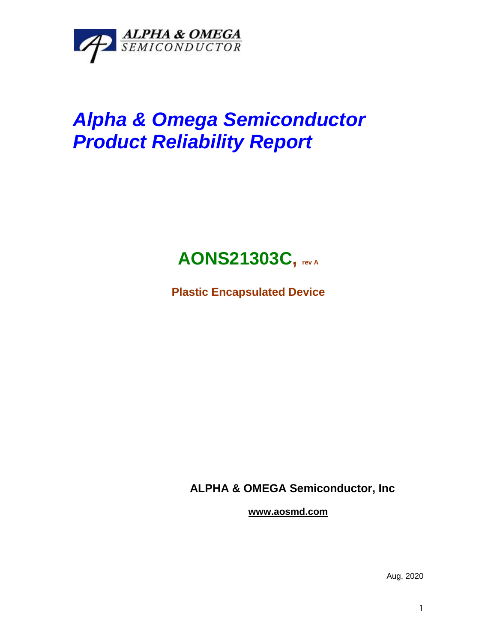

## *Alpha & Omega Semiconductor Product Reliability Report*



**Plastic Encapsulated Device**

**ALPHA & OMEGA Semiconductor, Inc**

**www.aosmd.com**

Aug, 2020